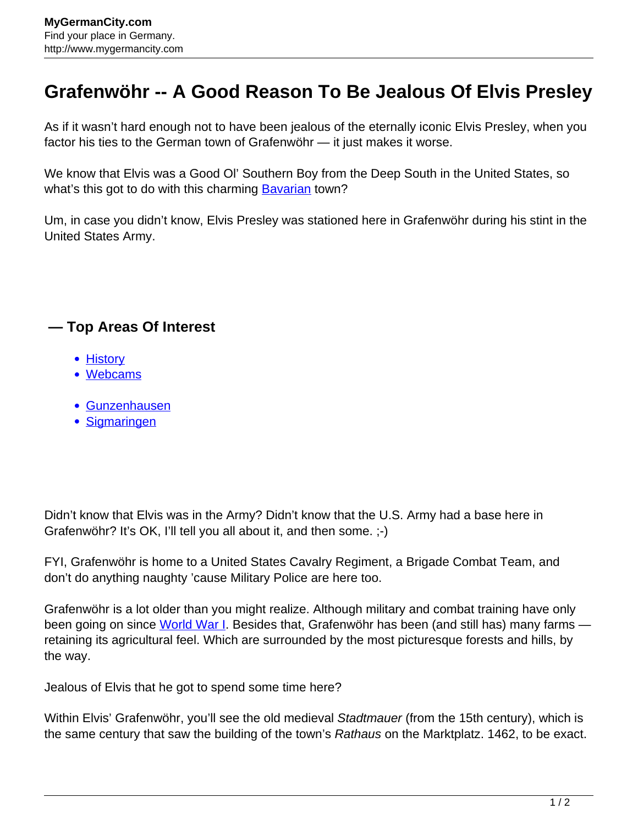## **Grafenwöhr -- A Good Reason To Be Jealous Of Elvis Presley**

As if it wasn't hard enough not to have been jealous of the eternally iconic Elvis Presley, when you factor his ties to the German town of Grafenwöhr — it just makes it worse.

We know that Elvis was a Good OI' Southern Boy from the Deep South in the United States, so what's this got to do with this charming **Bavarian** town?

Um, in case you didn't know, Elvis Presley was stationed here in Grafenwöhr during his stint in the United States Army.

## **— Top Areas Of Interest**

- **[History](http://www.mygermancity.com/leipzig-history)**
- [Webcams](http://www.mygermancity.com/neustadt-holstein-webcams)
- [Gunzenhausen](http://www.mygermancity.com/gunzenhausen)
- [Sigmaringen](http://www.mygermancity.com/sigmaringen)

Didn't know that Elvis was in the Army? Didn't know that the U.S. Army had a base here in Grafenwöhr? It's OK, I'll tell you all about it, and then some. ;-)

FYI, Grafenwöhr is home to a United States Cavalry Regiment, a Brigade Combat Team, and don't do anything naughty 'cause Military Police are here too.

Grafenwöhr is a lot older than you might realize. Although military and combat training have only been going on since [World War I.](http://www.mygermancity.com/world-war-i) Besides that, Grafenwöhr has been (and still has) many farms retaining its agricultural feel. Which are surrounded by the most picturesque forests and hills, by the way.

Jealous of Elvis that he got to spend some time here?

Within Elvis' Grafenwöhr, you'll see the old medieval Stadtmauer (from the 15th century), which is the same century that saw the building of the town's Rathaus on the Marktplatz. 1462, to be exact.